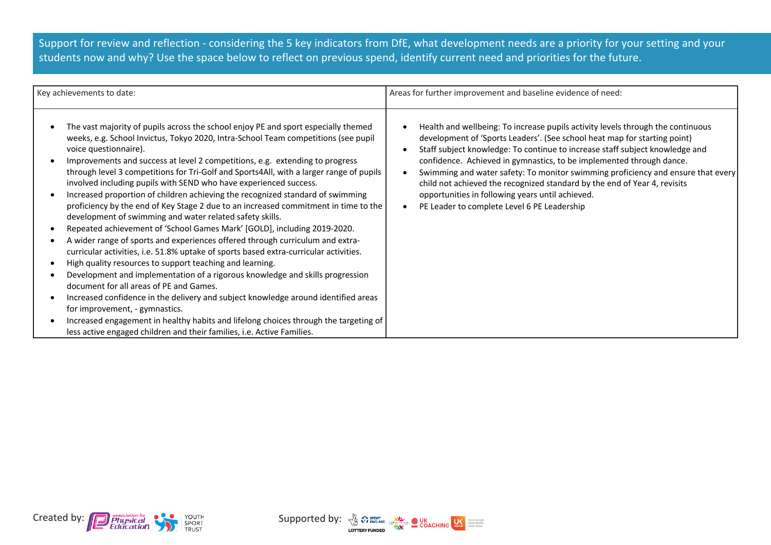Support for review and reflection - considering the 5 key indicators from DfE, what development needs are a priority for your setting and your students now and why? Use the space below to reflect on previous spend, identify current need and priorities for the future.

| Key achievements to date:                                                                                                                                                                                                                                                                                                                                                                                                                                                                                                                                                                                                                                                                                                                                                                                                                                                                                                                                                                                                                                                                                                                                                                                                                                                                                                                                                                                                      | Areas for further improvement and baseline evidence of need:                                                                                                                                                                                                                                                                                                                                                                                                                                                                                                                             |  |  |
|--------------------------------------------------------------------------------------------------------------------------------------------------------------------------------------------------------------------------------------------------------------------------------------------------------------------------------------------------------------------------------------------------------------------------------------------------------------------------------------------------------------------------------------------------------------------------------------------------------------------------------------------------------------------------------------------------------------------------------------------------------------------------------------------------------------------------------------------------------------------------------------------------------------------------------------------------------------------------------------------------------------------------------------------------------------------------------------------------------------------------------------------------------------------------------------------------------------------------------------------------------------------------------------------------------------------------------------------------------------------------------------------------------------------------------|------------------------------------------------------------------------------------------------------------------------------------------------------------------------------------------------------------------------------------------------------------------------------------------------------------------------------------------------------------------------------------------------------------------------------------------------------------------------------------------------------------------------------------------------------------------------------------------|--|--|
| The vast majority of pupils across the school enjoy PE and sport especially themed<br>weeks, e.g. School Invictus, Tokyo 2020, Intra-School Team competitions (see pupil<br>voice questionnaire).<br>Improvements and success at level 2 competitions, e.g. extending to progress<br>through level 3 competitions for Tri-Golf and Sports4All, with a larger range of pupils<br>involved including pupils with SEND who have experienced success.<br>Increased proportion of children achieving the recognized standard of swimming<br>proficiency by the end of Key Stage 2 due to an increased commitment in time to the<br>development of swimming and water related safety skills.<br>Repeated achievement of 'School Games Mark' [GOLD], including 2019-2020.<br>A wider range of sports and experiences offered through curriculum and extra-<br>curricular activities, i.e. 51.8% uptake of sports based extra-curricular activities.<br>High quality resources to support teaching and learning.<br>Development and implementation of a rigorous knowledge and skills progression<br>document for all areas of PE and Games.<br>Increased confidence in the delivery and subject knowledge around identified areas<br>for improvement, - gymnastics.<br>Increased engagement in healthy habits and lifelong choices through the targeting of<br>less active engaged children and their families, i.e. Active Families. | Health and wellbeing: To increase pupils activity levels through the continuous<br>development of 'Sports Leaders'. (See school heat map for starting point)<br>Staff subject knowledge: To continue to increase staff subject knowledge and<br>confidence. Achieved in gymnastics, to be implemented through dance.<br>Swimming and water safety: To monitor swimming proficiency and ensure that every<br>child not achieved the recognized standard by the end of Year 4, revisits<br>opportunities in following years until achieved.<br>PE Leader to complete Level 6 PE Leadership |  |  |



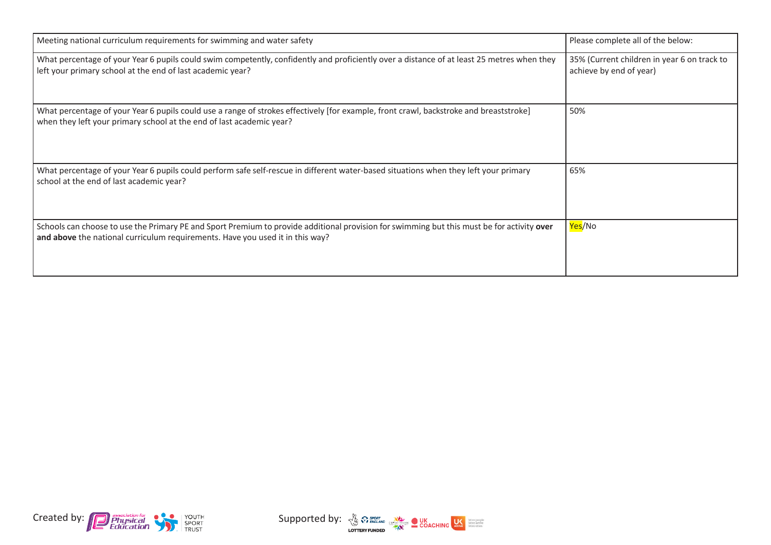| Meeting national curriculum requirements for swimming and water safety                                                                                                                                                      | Please complete all of the below:                                      |
|-----------------------------------------------------------------------------------------------------------------------------------------------------------------------------------------------------------------------------|------------------------------------------------------------------------|
| What percentage of your Year 6 pupils could swim competently, confidently and proficiently over a distance of at least 25 metres when they<br>left your primary school at the end of last academic year?                    | 35% (Current children in year 6 on track to<br>achieve by end of year) |
| What percentage of your Year 6 pupils could use a range of strokes effectively [for example, front crawl, backstroke and breaststroke]<br>when they left your primary school at the end of last academic year?              | 50%                                                                    |
| What percentage of your Year 6 pupils could perform safe self-rescue in different water-based situations when they left your primary<br>school at the end of last academic year?                                            | 65%                                                                    |
| Schools can choose to use the Primary PE and Sport Premium to provide additional provision for swimming but this must be for activity over<br>and above the national curriculum requirements. Have you used it in this way? | Yes/No                                                                 |



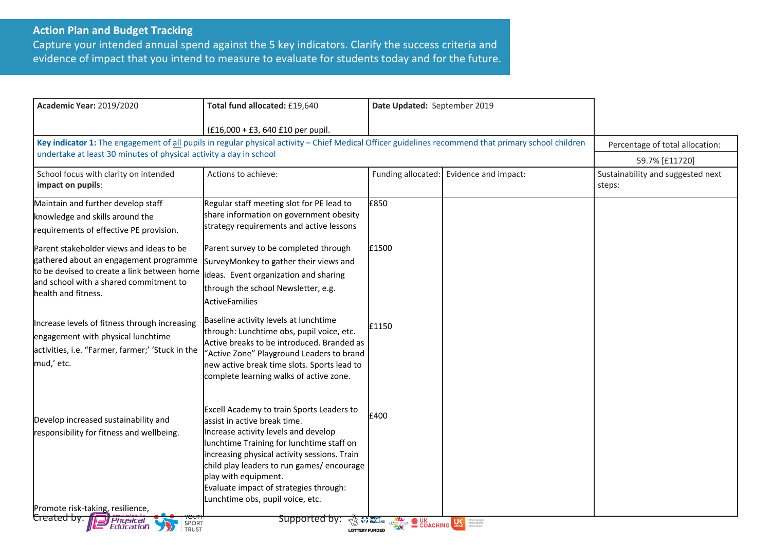## **Action Plan and Budget Tracking**

Capture your intended annual spend against the 5 key indicators. Clarify the success criteria and evidence of impact that you intend to measure to evaluate for students today and for the future.

| <b>Academic Year: 2019/2020</b>                                                                                                                                                                    | Total fund allocated: £19,640                                                                                                                                                                                                                                                                                                                                     | Date Updated: September 2019 |                      |                                             |
|----------------------------------------------------------------------------------------------------------------------------------------------------------------------------------------------------|-------------------------------------------------------------------------------------------------------------------------------------------------------------------------------------------------------------------------------------------------------------------------------------------------------------------------------------------------------------------|------------------------------|----------------------|---------------------------------------------|
|                                                                                                                                                                                                    | (£16,000 + £3, 640 £10 per pupil.                                                                                                                                                                                                                                                                                                                                 |                              |                      |                                             |
| Key indicator 1: The engagement of all pupils in regular physical activity - Chief Medical Officer guidelines recommend that primary school children                                               |                                                                                                                                                                                                                                                                                                                                                                   |                              |                      | Percentage of total allocation:             |
| undertake at least 30 minutes of physical activity a day in school                                                                                                                                 |                                                                                                                                                                                                                                                                                                                                                                   |                              |                      | 59.7% [£11720]                              |
| School focus with clarity on intended<br>impact on pupils:                                                                                                                                         | Actions to achieve:                                                                                                                                                                                                                                                                                                                                               | Funding allocated:           | Evidence and impact: | Sustainability and suggested next<br>steps: |
| Maintain and further develop staff<br>knowledge and skills around the<br>requirements of effective PE provision.                                                                                   | Regular staff meeting slot for PE lead to<br>share information on government obesity<br>strategy requirements and active lessons                                                                                                                                                                                                                                  | £850                         |                      |                                             |
| Parent stakeholder views and ideas to be<br>gathered about an engagement programme<br>to be devised to create a link between home<br>and school with a shared commitment to<br>health and fitness. | Parent survey to be completed through<br>SurveyMonkey to gather their views and<br>ideas. Event organization and sharing<br>through the school Newsletter, e.g.<br>ActiveFamilies                                                                                                                                                                                 | £1500                        |                      |                                             |
| Increase levels of fitness through increasing<br>engagement with physical lunchtime<br>activities, i.e. "Farmer, farmer;' 'Stuck in the<br>mud,' etc.                                              | Baseline activity levels at lunchtime<br>through: Lunchtime obs, pupil voice, etc.<br>Active breaks to be introduced. Branded as<br>'Active Zone" Playground Leaders to brand<br>new active break time slots. Sports lead to<br>complete learning walks of active zone.                                                                                           | £1150                        |                      |                                             |
| Develop increased sustainability and<br>responsibility for fitness and wellbeing.<br>Promote risk-taking, resilience,                                                                              | Excell Academy to train Sports Leaders to<br>assist in active break time.<br>Increase activity levels and develop<br>lunchtime Training for lunchtime staff on<br>increasing physical activity sessions. Train<br>child play leaders to run games/encourage<br>play with equipment.<br>Evaluate impact of strategies through:<br>Lunchtime obs, pupil voice, etc. | £400                         |                      |                                             |
| Created by:<br>Physical ال                                                                                                                                                                         | supported by:                                                                                                                                                                                                                                                                                                                                                     |                              |                      |                                             |
| <b>TAN START OF SPIELMORE OUR COACHING LIKE</b><br>More people<br>More active<br>More often<br>SPORT<br><i><b>Education</b></i><br><b>TRUST</b><br><b>LOTTERY FUNDED</b>                           |                                                                                                                                                                                                                                                                                                                                                                   |                              |                      |                                             |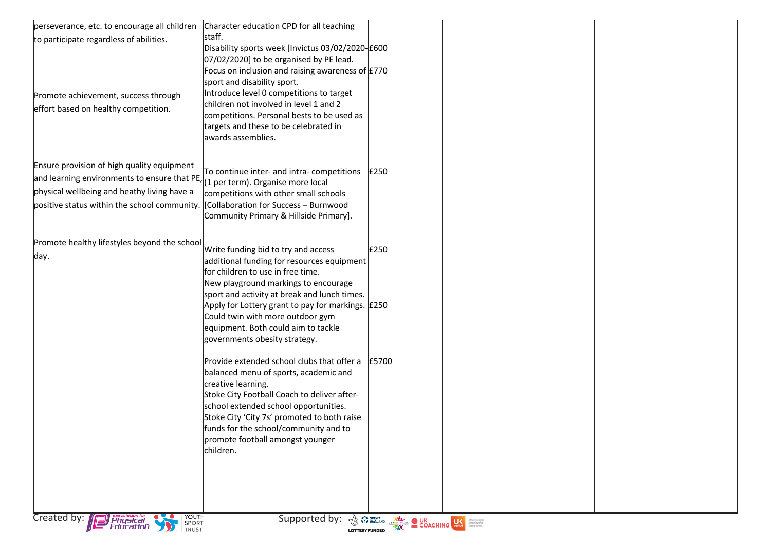| perseverance, etc. to encourage all children                                                                                                           | Character education CPD for all teaching                                           |       |  |  |
|--------------------------------------------------------------------------------------------------------------------------------------------------------|------------------------------------------------------------------------------------|-------|--|--|
| to participate regardless of abilities.                                                                                                                | staff.                                                                             |       |  |  |
|                                                                                                                                                        | Disability sports week [Invictus 03/02/2020-E600                                   |       |  |  |
|                                                                                                                                                        | 07/02/2020] to be organised by PE lead.                                            |       |  |  |
|                                                                                                                                                        | Focus on inclusion and raising awareness of $E$ 770                                |       |  |  |
|                                                                                                                                                        | sport and disability sport.                                                        |       |  |  |
| Promote achievement, success through                                                                                                                   | Introduce level 0 competitions to target<br>children not involved in level 1 and 2 |       |  |  |
| effort based on healthy competition.                                                                                                                   | competitions. Personal bests to be used as                                         |       |  |  |
|                                                                                                                                                        | targets and these to be celebrated in                                              |       |  |  |
|                                                                                                                                                        | awards assemblies.                                                                 |       |  |  |
|                                                                                                                                                        |                                                                                    |       |  |  |
| Ensure provision of high quality equipment                                                                                                             |                                                                                    |       |  |  |
|                                                                                                                                                        | To continue inter- and intra- competitions                                         | E250  |  |  |
| and learning environments to ensure that $PE$ , $(1 \text{ per term})$ . Organise more local<br>physical wellbeing and heathy living have a            |                                                                                    |       |  |  |
|                                                                                                                                                        | competitions with other small schools                                              |       |  |  |
| positive status within the school community.                                                                                                           | [Collaboration for Success - Burnwood<br>Community Primary & Hillside Primary].    |       |  |  |
|                                                                                                                                                        |                                                                                    |       |  |  |
|                                                                                                                                                        |                                                                                    |       |  |  |
| Promote healthy lifestyles beyond the school                                                                                                           | Write funding bid to try and access                                                | £250  |  |  |
| day.                                                                                                                                                   | additional funding for resources equipment                                         |       |  |  |
|                                                                                                                                                        | for children to use in free time.                                                  |       |  |  |
|                                                                                                                                                        | New playground markings to encourage                                               |       |  |  |
|                                                                                                                                                        | sport and activity at break and lunch times.                                       |       |  |  |
|                                                                                                                                                        | Apply for Lottery grant to pay for markings. E250                                  |       |  |  |
|                                                                                                                                                        | Could twin with more outdoor gym<br>equipment. Both could aim to tackle            |       |  |  |
|                                                                                                                                                        | governments obesity strategy.                                                      |       |  |  |
|                                                                                                                                                        |                                                                                    |       |  |  |
|                                                                                                                                                        | Provide extended school clubs that offer a                                         | £5700 |  |  |
|                                                                                                                                                        | balanced menu of sports, academic and                                              |       |  |  |
|                                                                                                                                                        | creative learning.                                                                 |       |  |  |
|                                                                                                                                                        | Stoke City Football Coach to deliver after-                                        |       |  |  |
|                                                                                                                                                        | school extended school opportunities.                                              |       |  |  |
|                                                                                                                                                        | Stoke City 'City 7s' promoted to both raise                                        |       |  |  |
|                                                                                                                                                        | funds for the school/community and to<br>promote football amongst younger          |       |  |  |
|                                                                                                                                                        | children.                                                                          |       |  |  |
|                                                                                                                                                        |                                                                                    |       |  |  |
|                                                                                                                                                        |                                                                                    |       |  |  |
|                                                                                                                                                        |                                                                                    |       |  |  |
|                                                                                                                                                        |                                                                                    |       |  |  |
|                                                                                                                                                        |                                                                                    |       |  |  |
| YOUTH<br>SPORT<br>TRUST<br>Created by: Physical<br>Supported by:<br><b>THE REPORT OF SPRINGER OVER COACHING COMPANY SURFACES COACHING CONSTRUCTION</b> |                                                                                    |       |  |  |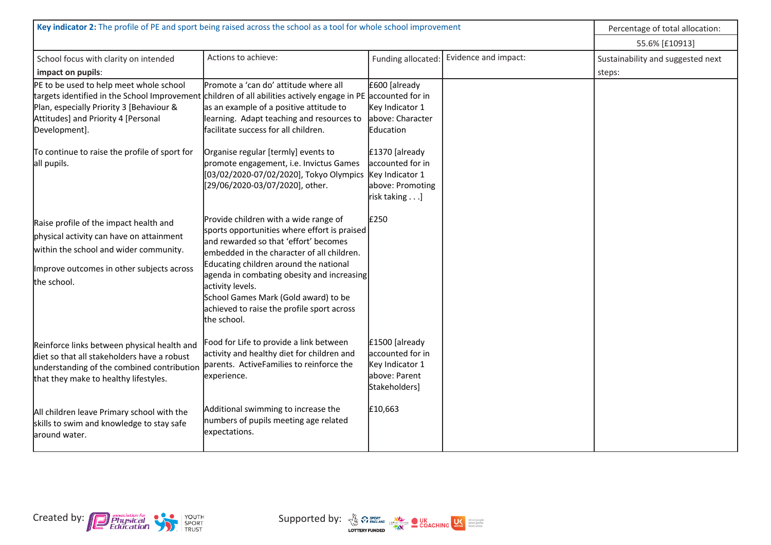| Key indicator 2: The profile of PE and sport being raised across the school as a tool for whole school improvement |                                                         |                    | Percentage of total allocation: |                                   |
|--------------------------------------------------------------------------------------------------------------------|---------------------------------------------------------|--------------------|---------------------------------|-----------------------------------|
|                                                                                                                    |                                                         |                    |                                 | 55.6% [£10913]                    |
| School focus with clarity on intended                                                                              | Actions to achieve:                                     | Funding allocated: | Evidence and impact:            | Sustainability and suggested next |
| impact on pupils:                                                                                                  |                                                         |                    |                                 | steps:                            |
| PE to be used to help meet whole school                                                                            | Promote a 'can do' attitude where all                   | £600 [already      |                                 |                                   |
| targets identified in the School Improvement children of all abilities actively engage in PE accounted for in      |                                                         |                    |                                 |                                   |
| Plan, especially Priority 3 [Behaviour &                                                                           | as an example of a positive attitude to                 | Key Indicator 1    |                                 |                                   |
| Attitudes] and Priority 4 [Personal                                                                                | learning. Adapt teaching and resources to               | above: Character   |                                 |                                   |
| Development].                                                                                                      | facilitate success for all children.                    | Education          |                                 |                                   |
| To continue to raise the profile of sport for                                                                      | Organise regular [termly] events to                     | £1370 [already     |                                 |                                   |
| all pupils.                                                                                                        | promote engagement, i.e. Invictus Games                 | accounted for in   |                                 |                                   |
|                                                                                                                    | [03/02/2020-07/02/2020], Tokyo Olympics Key Indicator 1 |                    |                                 |                                   |
|                                                                                                                    | [29/06/2020-03/07/2020], other.                         | above: Promoting   |                                 |                                   |
|                                                                                                                    |                                                         | risk taking]       |                                 |                                   |
|                                                                                                                    | Provide children with a wide range of                   | £250               |                                 |                                   |
| Raise profile of the impact health and                                                                             | sports opportunities where effort is praised            |                    |                                 |                                   |
| physical activity can have on attainment                                                                           | and rewarded so that 'effort' becomes                   |                    |                                 |                                   |
| within the school and wider community.                                                                             | embedded in the character of all children.              |                    |                                 |                                   |
| Improve outcomes in other subjects across                                                                          | Educating children around the national                  |                    |                                 |                                   |
|                                                                                                                    | agenda in combating obesity and increasing              |                    |                                 |                                   |
| the school.                                                                                                        | activity levels.                                        |                    |                                 |                                   |
|                                                                                                                    | School Games Mark (Gold award) to be                    |                    |                                 |                                   |
|                                                                                                                    | achieved to raise the profile sport across              |                    |                                 |                                   |
|                                                                                                                    | the school.                                             |                    |                                 |                                   |
| Reinforce links between physical health and                                                                        | Food for Life to provide a link between                 | £1500 [already     |                                 |                                   |
| diet so that all stakeholders have a robust                                                                        | activity and healthy diet for children and              | accounted for in   |                                 |                                   |
| understanding of the combined contribution <i>parents</i> . ActiveFamilies to reinforce the                        |                                                         | Key Indicator 1    |                                 |                                   |
| that they make to healthy lifestyles.                                                                              | experience.                                             | above: Parent      |                                 |                                   |
|                                                                                                                    |                                                         | Stakeholders]      |                                 |                                   |
|                                                                                                                    | Additional swimming to increase the                     | £10,663            |                                 |                                   |
| All children leave Primary school with the                                                                         | numbers of pupils meeting age related                   |                    |                                 |                                   |
| skills to swim and knowledge to stay safe                                                                          | expectations.                                           |                    |                                 |                                   |
| around water.                                                                                                      |                                                         |                    |                                 |                                   |
|                                                                                                                    |                                                         |                    |                                 |                                   |

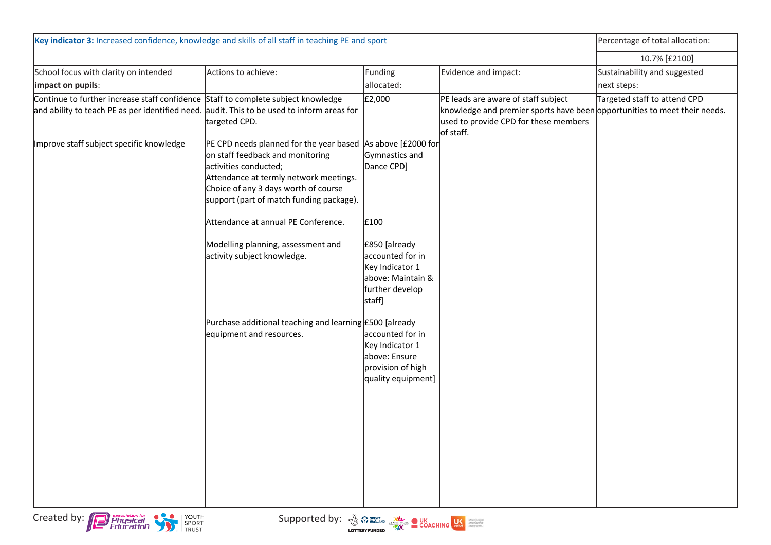| Key indicator 3: Increased confidence, knowledge and skills of all staff in teaching PE and sport                                                                    |                                                                                                                                                                                                                                                        |                                                                                                        |                                                                                                                                                                        | Percentage of total allocation: |
|----------------------------------------------------------------------------------------------------------------------------------------------------------------------|--------------------------------------------------------------------------------------------------------------------------------------------------------------------------------------------------------------------------------------------------------|--------------------------------------------------------------------------------------------------------|------------------------------------------------------------------------------------------------------------------------------------------------------------------------|---------------------------------|
|                                                                                                                                                                      |                                                                                                                                                                                                                                                        |                                                                                                        |                                                                                                                                                                        | 10.7% [£2100]                   |
| School focus with clarity on intended                                                                                                                                | Actions to achieve:                                                                                                                                                                                                                                    | Funding                                                                                                | Evidence and impact:                                                                                                                                                   | Sustainability and suggested    |
| impact on pupils:                                                                                                                                                    |                                                                                                                                                                                                                                                        | allocated:                                                                                             |                                                                                                                                                                        | next steps:                     |
| Continue to further increase staff confidence<br>and ability to teach PE as per identified need.                                                                     | Staff to complete subject knowledge<br>audit. This to be used to inform areas for<br>targeted CPD.                                                                                                                                                     | £2,000                                                                                                 | PE leads are aware of staff subject<br>knowledge and premier sports have been opportunities to meet their needs.<br>used to provide CPD for these members<br>of staff. | Targeted staff to attend CPD    |
| Improve staff subject specific knowledge                                                                                                                             | PE CPD needs planned for the year based As above [£2000 for<br>on staff feedback and monitoring<br>activities conducted;<br>Attendance at termly network meetings.<br>Choice of any 3 days worth of course<br>support (part of match funding package). | Gymnastics and<br>Dance CPD]                                                                           |                                                                                                                                                                        |                                 |
|                                                                                                                                                                      | Attendance at annual PE Conference.                                                                                                                                                                                                                    | £100                                                                                                   |                                                                                                                                                                        |                                 |
|                                                                                                                                                                      | Modelling planning, assessment and<br>activity subject knowledge.                                                                                                                                                                                      | £850 [already<br>accounted for in<br>Key Indicator 1<br>above: Maintain &<br>further develop<br>staff] |                                                                                                                                                                        |                                 |
|                                                                                                                                                                      | Purchase additional teaching and learning £500 [already<br>equipment and resources.                                                                                                                                                                    | accounted for in<br>Key Indicator 1<br>above: Ensure<br>provision of high<br>quality equipment]        |                                                                                                                                                                        |                                 |
|                                                                                                                                                                      |                                                                                                                                                                                                                                                        |                                                                                                        |                                                                                                                                                                        |                                 |
| Created by: <b>Physical</b><br>Education<br>VOUTH<br>SPORT<br>TRUST<br>Supported by: $\frac{y}{y}$ where $\frac{y}{y}$ concrete $\frac{y}{y}$ concrete $\frac{y}{y}$ |                                                                                                                                                                                                                                                        |                                                                                                        |                                                                                                                                                                        |                                 |